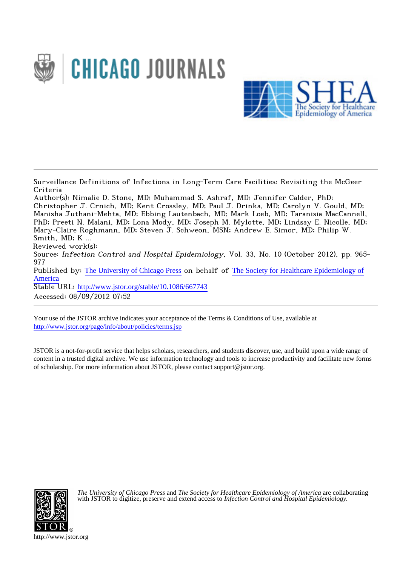



Surveillance Definitions of Infections in Long-Term Care Facilities: Revisiting the McGeer Criteria

Author(s): Nimalie D. Stone, MD; Muhammad S. Ashraf, MD; Jennifer Calder, PhD; Christopher J. Crnich, MD; Kent Crossley, MD; Paul J. Drinka, MD; Carolyn V. Gould, MD; Manisha Juthani-Mehta, MD; Ebbing Lautenbach, MD; Mark Loeb, MD; Taranisia MacCannell, PhD; Preeti N. Malani, MD; Lona Mody, MD; Joseph M. Mylotte, MD; Lindsay E. Nicolle, MD; Mary-Claire Roghmann, MD; Steven J. Schweon, MSN; Andrew E. Simor, MD; Philip W. Smith, MD; K ... Reviewed work(s): Source: Infection Control and Hospital Epidemiology, Vol. 33, No. 10 (October 2012), pp. 965- 977 Published by: [The University of Chicago Press](http://www.jstor.org/action/showPublisher?publisherCode=ucpress) on behalf of [The Society for Healthcare Epidemiology of](http://www.jstor.org/action/showPublisher?publisherCode=shea) [America](http://www.jstor.org/action/showPublisher?publisherCode=shea)

Stable URL: http://www.jstor.org/stable/10.1086/667743 Accessed: 08/09/2012 07:52

Your use of the JSTOR archive indicates your acceptance of the Terms & Conditions of Use, available at <http://www.jstor.org/page/info/about/policies/terms.jsp>

JSTOR is a not-for-profit service that helps scholars, researchers, and students discover, use, and build upon a wide range of content in a trusted digital archive. We use information technology and tools to increase productivity and facilitate new forms of scholarship. For more information about JSTOR, please contact support@jstor.org.



*The University of Chicago Press* and *The Society for Healthcare Epidemiology of America* are collaborating with JSTOR to digitize, preserve and extend access to *Infection Control and Hospital Epidemiology.*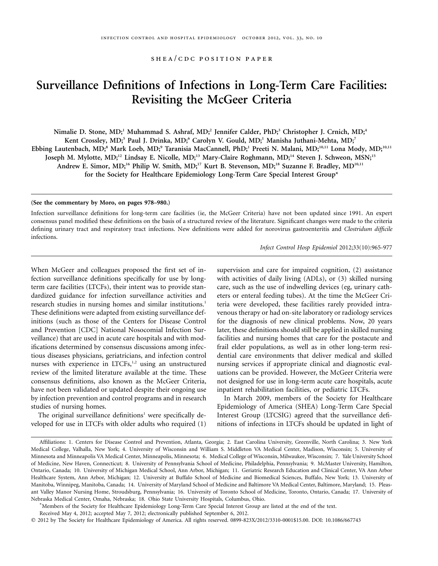shea/cdc position paper

# **Surveillance Definitions of Infections in Long-Term Care Facilities: Revisiting the McGeer Criteria**

**Nimalie D. Stone, MD;<sup>1</sup> Muhammad S. Ashraf, MD;<sup>2</sup> Jennifer Calder, PhD;<sup>3</sup> Christopher J. Crnich, MD;<sup>4</sup>** Kent Crossley, MD;<sup>5</sup> Paul J. Drinka, MD;<sup>6</sup> Carolyn V. Gould, MD;<sup>1</sup> Manisha Juthani-Mehta, MD;<sup>7</sup> Ebbing Lautenbach, MD;<sup>8</sup> Mark Loeb, MD;<sup>9</sup> Taranisia MacCannell, PhD;<sup>1</sup> Preeti N. Malani, MD;<sup>10,11</sup> Lona Mody, MD;<sup>10,11</sup> **Joseph M. Mylotte, MD;12 Lindsay E. Nicolle, MD;<sup>13</sup> Mary-Claire Roghmann, MD;14 Steven J. Schweon, MSN;15** Andrew E. Simor, MD;<sup>16</sup> Philip W. Smith, MD;<sup>17</sup> Kurt B. Stevenson, MD;<sup>18</sup> Suzanne F. Bradley, MD<sup>10,11</sup> **for the Society for Healthcare Epidemiology Long-Term Care Special Interest Group\***

#### **(See the commentary by Moro, on pages [978–980.\)](http://dx.doi.org/10.1086/667747)**

Infection surveillance definitions for long-term care facilities (ie, the McGeer Criteria) have not been updated since 1991. An expert consensus panel modified these definitions on the basis of a structured review of the literature. Significant changes were made to the criteria defining urinary tract and respiratory tract infections. New definitions were added for norovirus gastroenteritis and *Clostridum difficile* infections.

*Infect Control Hosp Epidemiol* 2012;33(10):965-977

When McGeer and colleagues proposed the first set of infection surveillance definitions specifically for use by longterm care facilities (LTCFs), their intent was to provide standardized guidance for infection surveillance activities and research studies in nursing homes and similar institutions.<sup>1</sup> These definitions were adapted from existing surveillance definitions (such as those of the Centers for Disease Control and Prevention [CDC] National Nosocomial Infection Surveillance) that are used in acute care hospitals and with modifications determined by consensus discussions among infectious diseases physicians, geriatricians, and infection control nurses with experience in LTCFs, $1,2$  using an unstructured review of the limited literature available at the time. These consensus definitions, also known as the McGeer Criteria, have not been validated or updated despite their ongoing use by infection prevention and control programs and in research studies of nursing homes.

The original surveillance definitions<sup>1</sup> were specifically developed for use in LTCFs with older adults who required (1) supervision and care for impaired cognition, (2) assistance with activities of daily living (ADLs), or (3) skilled nursing care, such as the use of indwelling devices (eg, urinary catheters or enteral feeding tubes). At the time the McGeer Criteria were developed, these facilities rarely provided intravenous therapy or had on-site laboratory or radiology services for the diagnosis of new clinical problems. Now, 20 years later, these definitions should still be applied in skilled nursing facilities and nursing homes that care for the postacute and frail elder populations, as well as in other long-term residential care environments that deliver medical and skilled nursing services if appropriate clinical and diagnostic evaluations can be provided. However, the McGeer Criteria were not designed for use in long-term acute care hospitals, acute inpatient rehabilitation facilities, or pediatric LTCFs.

In March 2009, members of the Society for Healthcare Epidemiology of America (SHEA) Long-Term Care Special Interest Group (LTCSIG) agreed that the surveillance definitions of infections in LTCFs should be updated in light of

Affiliations: 1. Centers for Disease Control and Prevention, Atlanta, Georgia; 2. East Carolina University, Greenville, North Carolina; 3. New York Medical College, Valhalla, New York; 4. University of Wisconsin and William S. Middleton VA Medical Center, Madison, Wisconsin; 5. University of Minnesota and Minneapolis VA Medical Center, Minneapolis, Minnesota; 6. Medical College of Wisconsin, Milwaukee, Wisconsin; 7. Yale University School of Medicine, New Haven, Connecticut; 8. University of Pennsylvania School of Medicine, Philadelphia, Pennsylvania; 9. McMaster University, Hamilton, Ontario, Canada; 10. University of Michigan Medical School, Ann Arbor, Michigan; 11. Geriatric Research Education and Clinical Center, VA Ann Arbor Healthcare System, Ann Arbor, Michigan; 12. University at Buffalo School of Medicine and Biomedical Sciences, Buffalo, New York; 13. University of Manitoba, Winnipeg, Manitoba, Canada; 14. University of Maryland School of Medicine and Baltimore VA Medical Center, Baltimore, Maryland; 15. Pleasant Valley Manor Nursing Home, Stroudsburg, Pennsylvania; 16. University of Toronto School of Medicine, Toronto, Ontario, Canada; 17. University of Nebraska Medical Center, Omaha, Nebraska; 18. Ohio State University Hospitals, Columbus, Ohio. \*Members of the Society for Healthcare Epidemiology Long-Term Care Special Interest Group are listed at the end of the text.

Received May 4, 2012; accepted May 7, 2012; electronically published September 6, 2012.

<sup>-</sup> 2012 by The Society for Healthcare Epidemiology of America. All rights reserved. 0899-823X/2012/3310-0001\$15.00. DOI: 10.1086/667743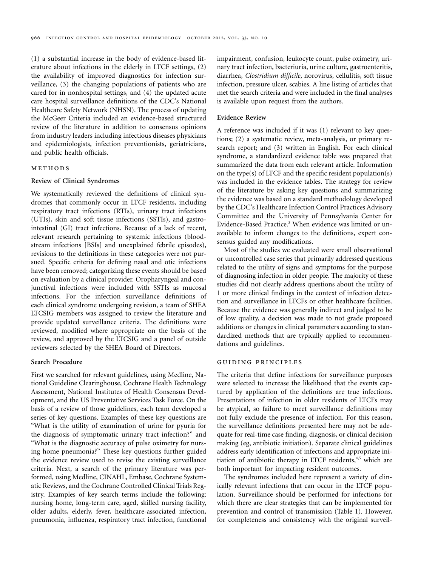(1) a substantial increase in the body of evidence-based literature about infections in the elderly in LTCF settings, (2) the availability of improved diagnostics for infection surveillance, (3) the changing populations of patients who are cared for in nonhospital settings, and (4) the updated acute care hospital surveillance definitions of the CDC's National Healthcare Safety Network (NHSN). The process of updating the McGeer Criteria included an evidence-based structured review of the literature in addition to consensus opinions from industry leaders including infectious diseases physicians and epidemiologists, infection preventionists, geriatricians, and public health officials.

# methods

# **Review of Clinical Syndromes**

We systematically reviewed the definitions of clinical syndromes that commonly occur in LTCF residents, including respiratory tract infections (RTIs), urinary tract infections (UTIs), skin and soft tissue infections (SSTIs), and gastrointestinal (GI) tract infections. Because of a lack of recent, relevant research pertaining to systemic infections (bloodstream infections [BSIs] and unexplained febrile episodes), revisions to the definitions in these categories were not pursued. Specific criteria for defining nasal and otic infections have been removed; categorizing these events should be based on evaluation by a clinical provider. Oropharyngeal and conjunctival infections were included with SSTIs as mucosal infections. For the infection surveillance definitions of each clinical syndrome undergoing revision, a team of SHEA LTCSIG members was assigned to review the literature and provide updated surveillance criteria. The definitions were reviewed, modified where appropriate on the basis of the review, and approved by the LTCSIG and a panel of outside reviewers selected by the SHEA Board of Directors.

#### **Search Procedure**

First we searched for relevant guidelines, using Medline, National Guideline Clearinghouse, Cochrane Health Technology Assessment, National Institutes of Health Consensus Development, and the US Preventative Services Task Force. On the basis of a review of those guidelines, each team developed a series of key questions. Examples of these key questions are "What is the utility of examination of urine for pyuria for the diagnosis of symptomatic urinary tract infection?" and "What is the diagnostic accuracy of pulse oximetry for nursing home pneumonia?" These key questions further guided the evidence review used to revise the existing surveillance criteria. Next, a search of the primary literature was performed, using Medline, CINAHL, Embase, Cochrane Systematic Reviews, and the Cochrane Controlled Clinical Trials Registry. Examples of key search terms include the following: nursing home, long-term care, aged, skilled nursing facility, older adults, elderly, fever, healthcare-associated infection, pneumonia, influenza, respiratory tract infection, functional

impairment, confusion, leukocyte count, pulse oximetry, urinary tract infection, bacteriuria, urine culture, gastroenteritis, diarrhea, *Clostridium difficile*, norovirus, cellulitis, soft tissue infection, pressure ulcer, scabies. A line listing of articles that met the search criteria and were included in the final analyses is available upon request from the authors.

# **Evidence Review**

A reference was included if it was (1) relevant to key questions; (2) a systematic review, meta-analysis, or primary research report; and (3) written in English. For each clinical syndrome, a standardized evidence table was prepared that summarized the data from each relevant article. Information on the type(s) of LTCF and the specific resident population(s) was included in the evidence tables. The strategy for review of the literature by asking key questions and summarizing the evidence was based on a standard methodology developed by the CDC's Healthcare Infection Control Practices Advisory Committee and the University of Pennsylvania Center for Evidence-Based Practice.<sup>3</sup> When evidence was limited or unavailable to inform changes to the definitions, expert consensus guided any modifications.

Most of the studies we evaluated were small observational or uncontrolled case series that primarily addressed questions related to the utility of signs and symptoms for the purpose of diagnosing infection in older people. The majority of these studies did not clearly address questions about the utility of 1 or more clinical findings in the context of infection detection and surveillance in LTCFs or other healthcare facilities. Because the evidence was generally indirect and judged to be of low quality, a decision was made to not grade proposed additions or changes in clinical parameters according to standardized methods that are typically applied to recommendations and guidelines.

## guiding principles

The criteria that define infections for surveillance purposes were selected to increase the likelihood that the events captured by application of the definitions are true infections. Presentations of infection in older residents of LTCFs may be atypical, so failure to meet surveillance definitions may not fully exclude the presence of infection. For this reason, the surveillance definitions presented here may not be adequate for real-time case finding, diagnosis, or clinical decision making (eg, antibiotic initiation). Separate clinical guidelines address early identification of infections and appropriate initiation of antibiotic therapy in LTCF residents,<sup>4,5</sup> which are both important for impacting resident outcomes.

The syndromes included here represent a variety of clinically relevant infections that can occur in the LTCF population. Surveillance should be performed for infections for which there are clear strategies that can be implemented for prevention and control of transmission (Table 1). However, for completeness and consistency with the original surveil-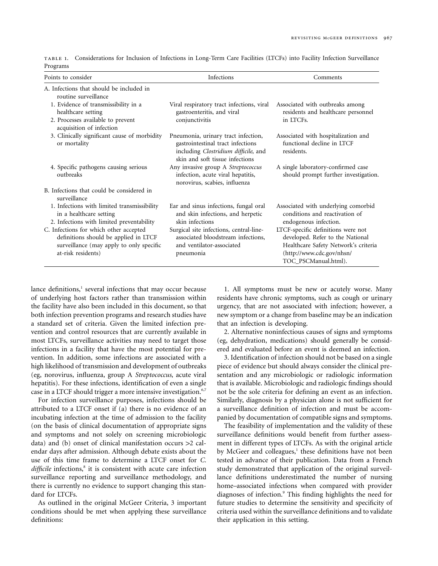| Points to consider                                                                                                                                | Infections                                                                                                                                          | Comments                                                                                                                                                            |
|---------------------------------------------------------------------------------------------------------------------------------------------------|-----------------------------------------------------------------------------------------------------------------------------------------------------|---------------------------------------------------------------------------------------------------------------------------------------------------------------------|
| A. Infections that should be included in<br>routine surveillance                                                                                  |                                                                                                                                                     |                                                                                                                                                                     |
| 1. Evidence of transmissibility in a<br>healthcare setting<br>2. Processes available to prevent                                                   | Viral respiratory tract infections, viral<br>gastroenteritis, and viral<br>conjunctivitis                                                           | Associated with outbreaks among<br>residents and healthcare personnel<br>in LTCFs.                                                                                  |
| acquisition of infection                                                                                                                          |                                                                                                                                                     |                                                                                                                                                                     |
| 3. Clinically significant cause of morbidity<br>or mortality                                                                                      | Pneumonia, urinary tract infection,<br>gastrointestinal tract infections<br>including Clostridium difficile, and<br>skin and soft tissue infections | Associated with hospitalization and<br>functional decline in LTCF<br>residents.                                                                                     |
| 4. Specific pathogens causing serious<br>outbreaks                                                                                                | Any invasive group A Streptococcus<br>infection, acute viral hepatitis,<br>norovirus, scabies, influenza                                            | A single laboratory-confirmed case<br>should prompt further investigation.                                                                                          |
| B. Infections that could be considered in<br>surveillance                                                                                         |                                                                                                                                                     |                                                                                                                                                                     |
| 1. Infections with limited transmissibility<br>in a healthcare setting<br>2. Infections with limited preventability                               | Ear and sinus infections, fungal oral<br>and skin infections, and herpetic<br>skin infections                                                       | Associated with underlying comorbid<br>conditions and reactivation of<br>endogenous infection.                                                                      |
| C. Infections for which other accepted<br>definitions should be applied in LTCF<br>surveillance (may apply to only specific<br>at-risk residents) | Surgical site infections, central-line-<br>associated bloodstream infections,<br>and ventilator-associated<br>pneumonia                             | LTCF-specific definitions were not<br>developed. Refer to the National<br>Healthcare Safety Network's criteria<br>(http://www.cdc.gov/nhsn/<br>TOC_PSCManual.html). |

table 1. Considerations for Inclusion of Infections in Long-Term Care Facilities (LTCFs) into Facility Infection Surveillance Programs

lance definitions, $<sup>1</sup>$  several infections that may occur because</sup> of underlying host factors rather than transmission within the facility have also been included in this document, so that both infection prevention programs and research studies have a standard set of criteria. Given the limited infection prevention and control resources that are currently available in most LTCFs, surveillance activities may need to target those infections in a facility that have the most potential for prevention. In addition, some infections are associated with a high likelihood of transmission and development of outbreaks (eg, norovirus, influenza, group A *Streptococcus*, acute viral hepatitis). For these infections, identification of even a single case in a LTCF should trigger a more intensive investigation.<sup>6,7</sup>

For infection surveillance purposes, infections should be attributed to a LTCF onset if (a) there is no evidence of an incubating infection at the time of admission to the facility (on the basis of clinical documentation of appropriate signs and symptoms and not solely on screening microbiologic data) and (b) onset of clinical manifestation occurs  $>2$  calendar days after admission. Although debate exists about the use of this time frame to determine a LTCF onset for *C. difficile* infections,<sup>8</sup> it is consistent with acute care infection surveillance reporting and surveillance methodology, and there is currently no evidence to support changing this standard for LTCFs.

As outlined in the original McGeer Criteria, 3 important conditions should be met when applying these surveillance definitions:

1. All symptoms must be new or acutely worse. Many residents have chronic symptoms, such as cough or urinary urgency, that are not associated with infection; however, a new symptom or a change from baseline may be an indication that an infection is developing.

2. Alternative noninfectious causes of signs and symptoms (eg, dehydration, medications) should generally be considered and evaluated before an event is deemed an infection.

3. Identification of infection should not be based on a single piece of evidence but should always consider the clinical presentation and any microbiologic or radiologic information that is available. Microbiologic and radiologic findings should not be the sole criteria for defining an event as an infection. Similarly, diagnosis by a physician alone is not sufficient for a surveillance definition of infection and must be accompanied by documentation of compatible signs and symptoms.

The feasibility of implementation and the validity of these surveillance definitions would benefit from further assessment in different types of LTCFs. As with the original article by McGeer and colleagues,<sup>1</sup> these definitions have not been tested in advance of their publication. Data from a French study demonstrated that application of the original surveillance definitions underestimated the number of nursing home–associated infections when compared with provider diagnoses of infection.<sup>9</sup> This finding highlights the need for future studies to determine the sensitivity and specificity of criteria used within the surveillance definitions and to validate their application in this setting.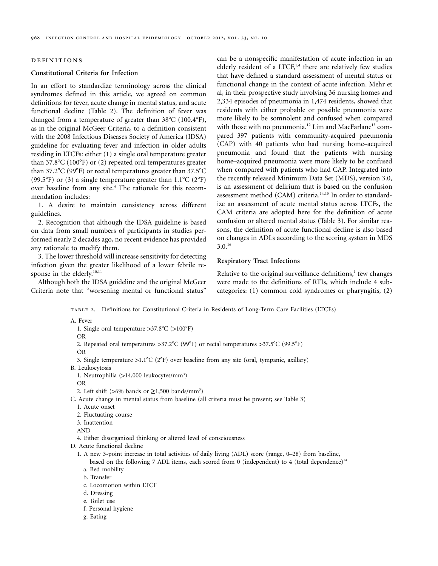#### definitions

# **Constitutional Criteria for Infection**

In an effort to standardize terminology across the clinical syndromes defined in this article, we agreed on common definitions for fever, acute change in mental status, and acute functional decline (Table 2). The definition of fever was changed from a temperature of greater than  $38^{\circ}$ C (100.4 $^{\circ}$ F), as in the original McGeer Criteria, to a definition consistent with the 2008 Infectious Diseases Society of America (IDSA) guideline for evaluating fever and infection in older adults residing in LTCFs: either (1) a single oral temperature greater than  $37.8^{\circ}$ C (100 $^{\circ}$ F) or (2) repeated oral temperatures greater than 37.2 $\rm{^{\circ}C}$  (99 $\rm{^{\circ}F}$ ) or rectal temperatures greater than 37.5 $\rm{^{\circ}C}$ (99.5°F) or (3) a single temperature greater than  $1.1^{\circ}$ C (2°F) over baseline from any site.4 The rationale for this recommendation includes:

1. A desire to maintain consistency across different guidelines.

2. Recognition that although the IDSA guideline is based on data from small numbers of participants in studies performed nearly 2 decades ago, no recent evidence has provided any rationale to modify them.

3. The lower threshold will increase sensitivity for detecting infection given the greater likelihood of a lower febrile response in the elderly.<sup>10,11</sup>

Although both the IDSA guideline and the original McGeer Criteria note that "worsening mental or functional status"

can be a nonspecific manifestation of acute infection in an elderly resident of a LTCF, $1,4$  there are relatively few studies that have defined a standard assessment of mental status or functional change in the context of acute infection. Mehr et al, in their prospective study involving 36 nursing homes and 2,334 episodes of pneumonia in 1,474 residents, showed that residents with either probable or possible pneumonia were more likely to be somnolent and confused when compared with those with no pneumonia.<sup>12</sup> Lim and MacFarlane<sup>13</sup> compared 397 patients with community-acquired pneumonia (CAP) with 40 patients who had nursing home–acquired pneumonia and found that the patients with nursing home–acquired pneumonia were more likely to be confused when compared with patients who had CAP. Integrated into the recently released Minimum Data Set (MDS), version 3.0, is an assessment of delirium that is based on the confusion assessment method (CAM) criteria.<sup>14,15</sup> In order to standardize an assessment of acute mental status across LTCFs, the CAM criteria are adopted here for the definition of acute confusion or altered mental status (Table 3). For similar reasons, the definition of acute functional decline is also based on changes in ADLs according to the scoring system in MDS  $3.0.<sup>16</sup>$ 

# **Respiratory Tract Infections**

Relative to the original surveillance definitions, $<sup>1</sup>$  few changes</sup> were made to the definitions of RTIs, which include 4 subcategories: (1) common cold syndromes or pharyngitis, (2)

|          | TABLE 2. Definitions for Constitutional Criteria in Residents of Long-Term Care Facilities (LTCFs) |
|----------|----------------------------------------------------------------------------------------------------|
| A. Fever |                                                                                                    |

1. Single oral temperature  $>37.8^{\circ}C$  ( $>100^{\circ}F$ )

OR

- 2. Repeated oral temperatures >37.2°C (99°F) or rectal temperatures >37.5°C (99.5°F)
- OR 3. Single temperature  $>1.1^{\circ}C$  (2°F) over baseline from any site (oral, tympanic, axillary)
- B. Leukocytosis
	- 1. Neutrophilia (>14,000 leukocytes/mm<sup>3</sup>)
	- OR

2. Left shift (>6% bands or  $\geq$ 1,500 bands/mm<sup>3</sup>)

C. Acute change in mental status from baseline (all criteria must be present; see Table 3)

- 1. Acute onset
- 2. Fluctuating course
- 3. Inattention
- AND

4. Either disorganized thinking or altered level of consciousness

D. Acute functional decline

- 1. A new 3-point increase in total activities of daily living (ADL) score (range, 0–28) from baseline, based on the following 7 ADL items, each scored from 0 (independent) to 4 (total dependence)<sup>14</sup>
- a. Bed mobility
- b. Transfer
- c. Locomotion within LTCF
- d. Dressing
- e. Toilet use
- f. Personal hygiene
- g. Eating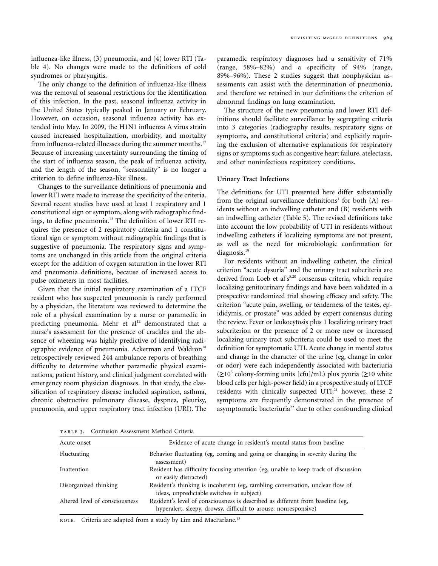influenza-like illness, (3) pneumonia, and (4) lower RTI (Table 4). No changes were made to the definitions of cold syndromes or pharyngitis.

The only change to the definition of influenza-like illness was the removal of seasonal restrictions for the identification of this infection. In the past, seasonal influenza activity in the United States typically peaked in January or February. However, on occasion, seasonal influenza activity has extended into May. In 2009, the H1N1 influenza A virus strain caused increased hospitalization, morbidity, and mortality from influenza-related illnesses during the summer months.<sup>17</sup> Because of increasing uncertainty surrounding the timing of the start of influenza season, the peak of influenza activity, and the length of the season, "seasonality" is no longer a criterion to define influenza-like illness.

Changes to the surveillance definitions of pneumonia and lower RTI were made to increase the specificity of the criteria. Several recent studies have used at least 1 respiratory and 1 constitutional sign or symptom, along with radiographic findings, to define pneumonia.<sup>13</sup> The definition of lower RTI requires the presence of 2 respiratory criteria and 1 constitutional sign or symptom without radiographic findings that is suggestive of pneumonia. The respiratory signs and symptoms are unchanged in this article from the original criteria except for the addition of oxygen saturation in the lower RTI and pneumonia definitions, because of increased access to pulse oximeters in most facilities.

Given that the initial respiratory examination of a LTCF resident who has suspected pneumonia is rarely performed by a physician, the literature was reviewed to determine the role of a physical examination by a nurse or paramedic in predicting pneumonia. Mehr et al<sup>12</sup> demonstrated that a nurse's assessment for the presence of crackles and the absence of wheezing was highly predictive of identifying radiographic evidence of pneumonia. Ackerman and Waldron<sup>18</sup> retrospectively reviewed 244 ambulance reports of breathing difficulty to determine whether paramedic physical examinations, patient history, and clinical judgment correlated with emergency room physician diagnoses. In that study, the classification of respiratory disease included aspiration, asthma, chronic obstructive pulmonary disease, dyspnea, pleurisy, pneumonia, and upper respiratory tract infection (URI). The paramedic respiratory diagnoses had a sensitivity of 71% (range, 58%–82%) and a specificity of 94% (range, 89%–96%). These 2 studies suggest that nonphysician assessments can assist with the determination of pneumonia, and therefore we retained in our definitions the criterion of abnormal findings on lung examination.

The structure of the new pneumonia and lower RTI definitions should facilitate surveillance by segregating criteria into 3 categories (radiography results, respiratory signs or symptoms, and constitutional criteria) and explicitly requiring the exclusion of alternative explanations for respiratory signs or symptoms such as congestive heart failure, atelectasis, and other noninfectious respiratory conditions.

## **Urinary Tract Infections**

The definitions for UTI presented here differ substantially from the original surveillance definitions<sup>1</sup> for both  $(A)$  residents without an indwelling catheter and (B) residents with an indwelling catheter (Table 5). The revised definitions take into account the low probability of UTI in residents without indwelling catheters if localizing symptoms are not present, as well as the need for microbiologic confirmation for diagnosis.<sup>19</sup>

For residents without an indwelling catheter, the clinical criterion "acute dysuria" and the urinary tract subcriteria are derived from Loeb et al's<sup>5,20</sup> consensus criteria, which require localizing genitourinary findings and have been validated in a prospective randomized trial showing efficacy and safety. The criterion "acute pain, swelling, or tenderness of the testes, epididymis, or prostate" was added by expert consensus during the review. Fever or leukocytosis plus 1 localizing urinary tract subcriterion or the presence of 2 or more new or increased localizing urinary tract subcriteria could be used to meet the definition for symptomatic UTI. Acute change in mental status and change in the character of the urine (eg, change in color or odor) were each independently associated with bacteriuria  $(\geq 10^5 \text{ colony-forming units } [c\text{fu}]/\text{mL})$  plus pyuria ( $\geq 10 \text{ white}$ ) blood cells per high-power field) in a prospective study of LTCF residents with clinically suspected UTI;<sup>21</sup> however, these 2 symptoms are frequently demonstrated in the presence of asymptomatic bacteriuria<sup>22</sup> due to other confounding clinical

table 3. Confusion Assessment Method Criteria

| Acute onset                    | Evidence of acute change in resident's mental status from baseline                                                                                |
|--------------------------------|---------------------------------------------------------------------------------------------------------------------------------------------------|
| Fluctuating                    | Behavior fluctuating (eg, coming and going or changing in severity during the<br>assessment)                                                      |
| Inattention                    | Resident has difficulty focusing attention (eg, unable to keep track of discussion<br>or easily distracted)                                       |
| Disorganized thinking          | Resident's thinking is incoherent (eg, rambling conversation, unclear flow of<br>ideas, unpredictable switches in subject)                        |
| Altered level of consciousness | Resident's level of consciousness is described as different from baseline (eg,<br>hyperalert, sleepy, drowsy, difficult to arouse, nonresponsive) |

NOTE. Criteria are adapted from a study by Lim and MacFarlane.<sup>13</sup>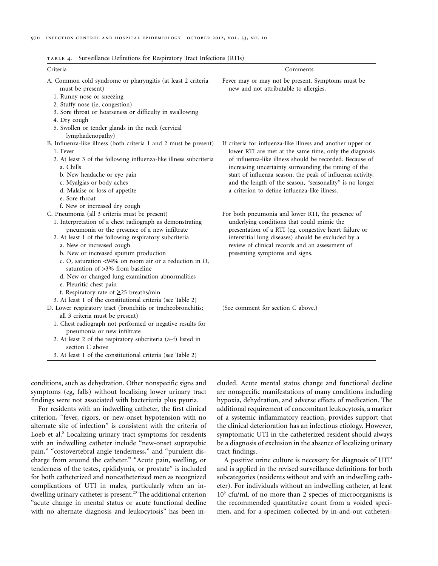| Criteria                                                                                                                                                                                                                                                                                                                                                                                                                                                                                                      | Comments                                                                                                                                                                                                                                                                                                                                                                                                             |
|---------------------------------------------------------------------------------------------------------------------------------------------------------------------------------------------------------------------------------------------------------------------------------------------------------------------------------------------------------------------------------------------------------------------------------------------------------------------------------------------------------------|----------------------------------------------------------------------------------------------------------------------------------------------------------------------------------------------------------------------------------------------------------------------------------------------------------------------------------------------------------------------------------------------------------------------|
| A. Common cold syndrome or pharyngitis (at least 2 criteria<br>must be present)<br>1. Runny nose or sneezing<br>2. Stuffy nose (ie, congestion)<br>3. Sore throat or hoarseness or difficulty in swallowing<br>4. Dry cough<br>5. Swollen or tender glands in the neck (cervical                                                                                                                                                                                                                              | Fever may or may not be present. Symptoms must be<br>new and not attributable to allergies.                                                                                                                                                                                                                                                                                                                          |
| lymphadenopathy)<br>B. Influenza-like illness (both criteria 1 and 2 must be present)<br>1. Fever<br>2. At least 3 of the following influenza-like illness subcriteria<br>a. Chills<br>b. New headache or eye pain<br>c. Myalgias or body aches<br>d. Malaise or loss of appetite<br>e. Sore throat                                                                                                                                                                                                           | If criteria for influenza-like illness and another upper or<br>lower RTI are met at the same time, only the diagnosis<br>of influenza-like illness should be recorded. Because of<br>increasing uncertainty surrounding the timing of the<br>start of influenza season, the peak of influenza activity,<br>and the length of the season, "seasonality" is no longer<br>a criterion to define influenza-like illness. |
| f. New or increased dry cough<br>C. Pneumonia (all 3 criteria must be present)<br>1. Interpretation of a chest radiograph as demonstrating<br>pneumonia or the presence of a new infiltrate<br>2. At least 1 of the following respiratory subcriteria<br>a. New or increased cough<br>b. New or increased sputum production<br>c. $O_2$ saturation <94% on room air or a reduction in $O_2$<br>saturation of >3% from baseline<br>d. New or changed lung examination abnormalities<br>e. Pleuritic chest pain | For both pneumonia and lower RTI, the presence of<br>underlying conditions that could mimic the<br>presentation of a RTI (eg, congestive heart failure or<br>interstitial lung diseases) should be excluded by a<br>review of clinical records and an assessment of<br>presenting symptoms and signs.                                                                                                                |
| f. Respiratory rate of $\geq$ 25 breaths/min<br>3. At least 1 of the constitutional criteria (see Table 2)<br>D. Lower respiratory tract (bronchitis or tracheobronchitis;<br>all 3 criteria must be present)<br>1. Chest radiograph not performed or negative results for<br>pneumonia or new infiltrate<br>2. At least 2 of the respiratory subcriteria (a-f) listed in<br>section C above<br>3. At least 1 of the constitutional criteria (see Table 2)                                                    | (See comment for section C above.)                                                                                                                                                                                                                                                                                                                                                                                   |

table 4. Surveillance Definitions for Respiratory Tract Infections (RTIs)

conditions, such as dehydration. Other nonspecific signs and symptoms (eg, falls) without localizing lower urinary tract findings were not associated with bacteriuria plus pyuria.

For residents with an indwelling catheter, the first clinical criterion, "fever, rigors, or new-onset hypotension with no alternate site of infection" is consistent with the criteria of Loeb et al.<sup>5</sup> Localizing urinary tract symptoms for residents with an indwelling catheter include "new-onset suprapubic pain," "costovertebral angle tenderness," and "purulent discharge from around the catheter." "Acute pain, swelling, or tenderness of the testes, epididymis, or prostate" is included for both catheterized and noncatheterized men as recognized complications of UTI in males, particularly when an indwelling urinary catheter is present.<sup>23</sup> The additional criterion "acute change in mental status or acute functional decline with no alternate diagnosis and leukocytosis" has been included. Acute mental status change and functional decline are nonspecific manifestations of many conditions including hypoxia, dehydration, and adverse effects of medication. The additional requirement of concomitant leukocytosis, a marker of a systemic inflammatory reaction, provides support that the clinical deterioration has an infectious etiology. However, symptomatic UTI in the catheterized resident should always be a diagnosis of exclusion in the absence of localizing urinary tract findings.

A positive urine culture is necessary for diagnosis of UTI4 and is applied in the revised surveillance definitions for both subcategories (residents without and with an indwelling catheter). For individuals without an indwelling catheter, at least  $10<sup>5</sup>$  cfu/mL of no more than 2 species of microorganisms is the recommended quantitative count from a voided specimen, and for a specimen collected by in-and-out catheteri-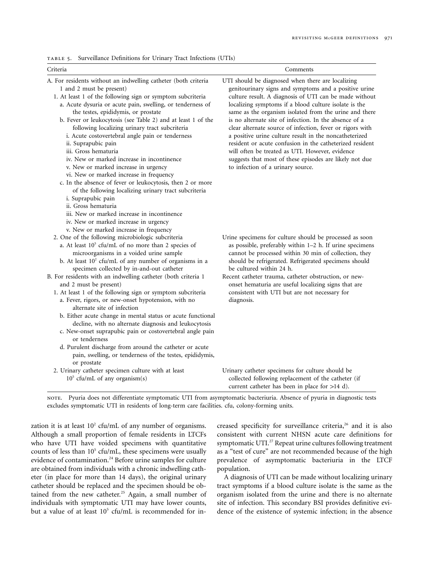| Criteria                                                                                                                                                                                                                                                                                                                                                                                                                                                                                                                                                                                                                                                                                                                                                                                                                                                                                                                  | Comments                                                                                                                                                                                                                                                                                                                                                                                                                                                                                                                                                                                                                                                                                |
|---------------------------------------------------------------------------------------------------------------------------------------------------------------------------------------------------------------------------------------------------------------------------------------------------------------------------------------------------------------------------------------------------------------------------------------------------------------------------------------------------------------------------------------------------------------------------------------------------------------------------------------------------------------------------------------------------------------------------------------------------------------------------------------------------------------------------------------------------------------------------------------------------------------------------|-----------------------------------------------------------------------------------------------------------------------------------------------------------------------------------------------------------------------------------------------------------------------------------------------------------------------------------------------------------------------------------------------------------------------------------------------------------------------------------------------------------------------------------------------------------------------------------------------------------------------------------------------------------------------------------------|
| A. For residents without an indwelling catheter (both criteria<br>1 and 2 must be present)<br>1. At least 1 of the following sign or symptom subcriteria<br>a. Acute dysuria or acute pain, swelling, or tenderness of<br>the testes, epididymis, or prostate<br>b. Fever or leukocytosis (see Table 2) and at least 1 of the<br>following localizing urinary tract subcriteria<br>i. Acute costovertebral angle pain or tenderness<br>ii. Suprapubic pain<br>iii. Gross hematuria<br>iv. New or marked increase in incontinence<br>v. New or marked increase in urgency<br>vi. New or marked increase in frequency<br>c. In the absence of fever or leukocytosis, then 2 or more<br>of the following localizing urinary tract subcriteria<br>i. Suprapubic pain<br>ii. Gross hematuria<br>iii. New or marked increase in incontinence<br>iv. New or marked increase in urgency<br>v. New or marked increase in frequency | UTI should be diagnosed when there are localizing<br>genitourinary signs and symptoms and a positive urine<br>culture result. A diagnosis of UTI can be made without<br>localizing symptoms if a blood culture isolate is the<br>same as the organism isolated from the urine and there<br>is no alternate site of infection. In the absence of a<br>clear alternate source of infection, fever or rigors with<br>a positive urine culture result in the noncatheterized<br>resident or acute confusion in the catheterized resident<br>will often be treated as UTI. However, evidence<br>suggests that most of these episodes are likely not due<br>to infection of a urinary source. |
| 2. One of the following microbiologic subcriteria<br>a. At least 10 <sup>5</sup> cfu/mL of no more than 2 species of<br>microorganisms in a voided urine sample<br>b. At least $102$ cfu/mL of any number of organisms in a<br>specimen collected by in-and-out catheter<br>B. For residents with an indwelling catheter (both criteria 1<br>and 2 must be present)<br>1. At least 1 of the following sign or symptom subcriteria<br>a. Fever, rigors, or new-onset hypotension, with no<br>alternate site of infection<br>b. Either acute change in mental status or acute functional<br>decline, with no alternate diagnosis and leukocytosis<br>c. New-onset suprapubic pain or costovertebral angle pain<br>or tenderness<br>d. Purulent discharge from around the catheter or acute<br>pain, swelling, or tenderness of the testes, epididymis,<br>or prostate                                                       | Urine specimens for culture should be processed as soon<br>as possible, preferably within 1-2 h. If urine specimens<br>cannot be processed within 30 min of collection, they<br>should be refrigerated. Refrigerated specimens should<br>be cultured within 24 h.<br>Recent catheter trauma, catheter obstruction, or new-<br>onset hematuria are useful localizing signs that are<br>consistent with UTI but are not necessary for<br>diagnosis.                                                                                                                                                                                                                                       |
| 2. Urinary catheter specimen culture with at least<br>$105$ cfu/mL of any organism(s)                                                                                                                                                                                                                                                                                                                                                                                                                                                                                                                                                                                                                                                                                                                                                                                                                                     | Urinary catheter specimens for culture should be<br>collected following replacement of the catheter (if<br>current catheter has been in place for $>14$ d).                                                                                                                                                                                                                                                                                                                                                                                                                                                                                                                             |

table 5. Surveillance Definitions for Urinary Tract Infections (UTIs)

note. Pyuria does not differentiate symptomatic UTI from asymptomatic bacteriuria. Absence of pyuria in diagnostic tests excludes symptomatic UTI in residents of long-term care facilities. cfu, colony-forming units.

zation it is at least  $10^2$  cfu/mL of any number of organisms. Although a small proportion of female residents in LTCFs who have UTI have voided specimens with quantitative counts of less than  $10^5$  cfu/mL, these specimens were usually evidence of contamination.<sup>24</sup> Before urine samples for culture are obtained from individuals with a chronic indwelling catheter (in place for more than 14 days), the original urinary catheter should be replaced and the specimen should be obtained from the new catheter.<sup>25</sup> Again, a small number of individuals with symptomatic UTI may have lower counts, but a value of at least  $10^5$  cfu/mL is recommended for in-

creased specificity for surveillance criteria,<sup>26</sup> and it is also consistent with current NHSN acute care definitions for symptomatic UTI.<sup>27</sup> Repeat urine cultures following treatment as a "test of cure" are not recommended because of the high prevalence of asymptomatic bacteriuria in the LTCF population.

A diagnosis of UTI can be made without localizing urinary tract symptoms if a blood culture isolate is the same as the organism isolated from the urine and there is no alternate site of infection. This secondary BSI provides definitive evidence of the existence of systemic infection; in the absence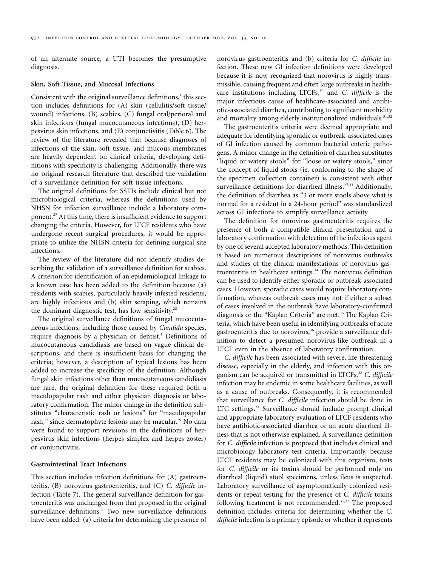of an alternate source, a UTI becomes the presumptive diagnosis.

#### **Skin, Soft Tissue, and Mucosal Infections**

Consistent with the original surveillance definitions, $<sup>1</sup>$  this sec-</sup> tion includes definitions for (A) skin (cellulitis/soft tissue/ wound) infections, (B) scabies, (C) fungal oral/perioral and skin infections (fungal mucocutaneous infections), (D) herpesvirus skin infections, and (E) conjunctivitis (Table 6). The review of the literature revealed that because diagnoses of infections of the skin, soft tissue, and mucous membranes are heavily dependent on clinical criteria, developing definitions with specificity is challenging. Additionally, there was no original research literature that described the validation of a surveillance definition for soft tissue infections.

The original definitions for SSTIs include clinical but not microbiological criteria, whereas the definitions used by NHSN for infection surveillance include a laboratory component.27 At this time, there is insufficient evidence to support changing the criteria. However, for LTCF residents who have undergone recent surgical procedures, it would be appropriate to utilize the NHSN criteria for defining surgical site infections.

The review of the literature did not identify studies describing the validation of a surveillance definition for scabies. A criterion for identification of an epidemiological linkage to a known case has been added to the definition because (a) residents with scabies, particularly heavily infested residents, are highly infectious and (b) skin scraping, which remains the dominant diagnostic test, has low sensitivity.<sup>28</sup>

The original surveillance definitions of fungal mucocutaneous infections, including those caused by *Candida* species, require diagnosis by a physician or dentist.<sup>1</sup> Definitions of mucocutaneous candidiasis are based on vague clinical descriptions, and there is insufficient basis for changing the criteria; however, a description of typical lesions has been added to increase the specificity of the definition. Although fungal skin infections other than mucocutaneous candidiasis are rare, the original definition for these required both a maculopapular rash and either physician diagnosis or laboratory confirmation. The minor change in the definition substitutes "characteristic rash or lesions" for "maculopapular rash," since dermatophyte lesions may be macular.<sup>29</sup> No data were found to support revisions in the definitions of herpesvirus skin infections (herpes simplex and herpes zoster) or conjunctivitis.

# **Gastrointestinal Tract Infections**

This section includes infection definitions for (A) gastroenteritis, (B) norovirus gastroenteritis, and (C) *C. difficile* infection (Table 7). The general surveillance definition for gastroenteritis was unchanged from that proposed in the original surveillance definitions.<sup>1</sup> Two new surveillance definitions have been added: (a) criteria for determining the presence of norovirus gastroenteritis and (b) criteria for *C. difficile* infection. These new GI infection definitions were developed because it is now recognized that norovirus is highly transmissible, causing frequent and often large outbreaks in healthcare institutions including LTCFs,<sup>30</sup> and *C. difficile* is the major infectious cause of healthcare-associated and antibiotic-associated diarrhea, contributing to significant morbidity and mortality among elderly institutionalized individuals.<sup>31,32</sup>

The gastroenteritis criteria were deemed appropriate and adequate for identifying sporadic or outbreak-associated cases of GI infection caused by common bacterial enteric pathogens. A minor change in the definition of diarrhea substitutes "liquid or watery stools" for "loose or watery stools," since the concept of liquid stools (ie, conforming to the shape of the specimen collection container) is consistent with other surveillance definitions for diarrheal illness.<sup>27,33</sup> Additionally, the definition of diarrhea as "3 or more stools above what is normal for a resident in a 24-hour period" was standardized across GI infections to simplify surveillance activity.

The definition for norovirus gastroenteritis requires the presence of both a compatible clinical presentation and a laboratory confirmation with detection of the infectious agent by one of several accepted laboratory methods. This definition is based on numerous descriptions of norovirus outbreaks and studies of the clinical manifestations of norovirus gastroenteritis in healthcare settings.<sup>34</sup> The norovirus definition can be used to identify either sporadic or outbreak-associated cases. However, sporadic cases would require laboratory confirmation, whereas outbreak cases may not if either a subset of cases involved in the outbreak have laboratory-confirmed diagnosis or the "Kaplan Criteria" are met.<sup>35</sup> The Kaplan Criteria, which have been useful in identifying outbreaks of acute gastroenteritis due to norovirus,<sup>36</sup> provide a surveillance definition to detect a presumed norovirus-like outbreak in a LTCF even in the absence of laboratory confirmation.

*C. difficile* has been associated with severe, life-threatening disease, especially in the elderly, and infection with this organism can be acquired or transmitted in LTCFs.<sup>32</sup> C. difficile infection may be endemic in some healthcare facilities, as well as a cause of outbreaks. Consequently, it is recommended that surveillance for *C. difficile* infection should be done in LTC settings.<sup>31</sup> Surveillance should include prompt clinical and appropriate laboratory evaluation of LTCF residents who have antibiotic-associated diarrhea or an acute diarrheal illness that is not otherwise explained. A surveillance definition for *C. difficile* infection is proposed that includes clinical and microbiology laboratory test criteria. Importantly, because LTCF residents may be colonized with this organism, tests for *C. difficile* or its toxins should be performed only on diarrheal (liquid) stool specimens, unless ileus is suspected. Laboratory surveillance of asymptomatically colonized residents or repeat testing for the presence of *C. difficile* toxins following treatment is not recommended.<sup>31,32</sup> The proposed definition includes criteria for determining whether the *C. difficile* infection is a primary episode or whether it represents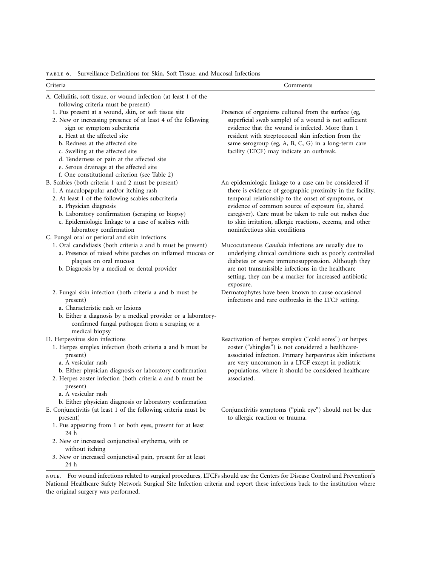table 6. Surveillance Definitions for Skin, Soft Tissue, and Mucosal Infections

| Criteria                                                                                                                                                                                                                                                                                                                                                                                             | Comments                                                                                                                                                                                                                                                                                                                                                                                |
|------------------------------------------------------------------------------------------------------------------------------------------------------------------------------------------------------------------------------------------------------------------------------------------------------------------------------------------------------------------------------------------------------|-----------------------------------------------------------------------------------------------------------------------------------------------------------------------------------------------------------------------------------------------------------------------------------------------------------------------------------------------------------------------------------------|
| A. Cellulitis, soft tissue, or wound infection (at least 1 of the<br>following criteria must be present)                                                                                                                                                                                                                                                                                             |                                                                                                                                                                                                                                                                                                                                                                                         |
| 1. Pus present at a wound, skin, or soft tissue site<br>2. New or increasing presence of at least 4 of the following<br>sign or symptom subcriteria<br>a. Heat at the affected site<br>b. Redness at the affected site<br>c. Swelling at the affected site<br>d. Tenderness or pain at the affected site<br>e. Serous drainage at the affected site<br>f. One constitutional criterion (see Table 2) | Presence of organisms cultured from the surface (eg,<br>superficial swab sample) of a wound is not sufficient<br>evidence that the wound is infected. More than 1<br>resident with streptococcal skin infection from the<br>same serogroup (eg, A, B, C, G) in a long-term care<br>facility (LTCF) may indicate an outbreak.                                                            |
| B. Scabies (both criteria 1 and 2 must be present)<br>1. A maculopapular and/or itching rash<br>2. At least 1 of the following scabies subcriteria<br>a. Physician diagnosis<br>b. Laboratory confirmation (scraping or biopsy)<br>c. Epidemiologic linkage to a case of scabies with<br>laboratory confirmation<br>C. Fungal oral or perioral and skin infections                                   | An epidemiologic linkage to a case can be considered if<br>there is evidence of geographic proximity in the facility,<br>temporal relationship to the onset of symptoms, or<br>evidence of common source of exposure (ie, shared<br>caregiver). Care must be taken to rule out rashes due<br>to skin irritation, allergic reactions, eczema, and other<br>noninfectious skin conditions |
| 1. Oral candidiasis (both criteria a and b must be present)<br>a. Presence of raised white patches on inflamed mucosa or<br>plaques on oral mucosa<br>b. Diagnosis by a medical or dental provider                                                                                                                                                                                                   | Mucocutaneous Candida infections are usually due to<br>underlying clinical conditions such as poorly controlled<br>diabetes or severe immunosuppression. Although they<br>are not transmissible infections in the healthcare<br>setting, they can be a marker for increased antibiotic<br>exposure.                                                                                     |
| 2. Fungal skin infection (both criteria a and b must be<br>present)<br>a. Characteristic rash or lesions<br>b. Either a diagnosis by a medical provider or a laboratory-<br>confirmed fungal pathogen from a scraping or a<br>medical biopsy                                                                                                                                                         | Dermatophytes have been known to cause occasional<br>infections and rare outbreaks in the LTCF setting.                                                                                                                                                                                                                                                                                 |
| D. Herpesvirus skin infections<br>1. Herpes simplex infection (both criteria a and b must be<br>present)<br>a. A vesicular rash<br>b. Either physician diagnosis or laboratory confirmation<br>2. Herpes zoster infection (both criteria a and b must be<br>present)<br>a. A vesicular rash                                                                                                          | Reactivation of herpes simplex ("cold sores") or herpes<br>zoster ("shingles") is not considered a healthcare-<br>associated infection. Primary herpesvirus skin infections<br>are very uncommon in a LTCF except in pediatric<br>populations, where it should be considered healthcare<br>associated.                                                                                  |
| b. Either physician diagnosis or laboratory confirmation<br>E. Conjunctivitis (at least 1 of the following criteria must be<br>present)<br>1. Pus appearing from 1 or both eyes, present for at least<br>24 h<br>2. New or increased conjunctival erythema, with or                                                                                                                                  | Conjunctivitis symptoms ("pink eye") should not be due<br>to allergic reaction or trauma.                                                                                                                                                                                                                                                                                               |
| without itching<br>3. New or increased conjunctival pain, present for at least<br>24 h                                                                                                                                                                                                                                                                                                               |                                                                                                                                                                                                                                                                                                                                                                                         |

note. For wound infections related to surgical procedures, LTCFs should use the Centers for Disease Control and Prevention's National Healthcare Safety Network Surgical Site Infection criteria and report these infections back to the institution where the original surgery was performed.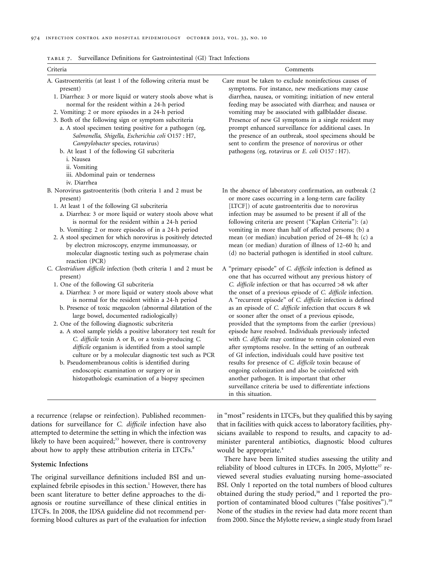| Criteria                                                                                                                                                                                                                                                                                                                                                                                                                                                                                                                                                                                                                                                                                                                                                                                                                                                                                                                                                                                                                                                                                                                                                                                                                                                                                                         | Comments                                                                                                                                                                                                                                                                                                                                                                                                                                                                                                                                                                                                                                                                                                                                                                                                                                                                                                                                                                                                                                                                                                                                                                                                                                                                                                                                                                                                                                                                                                        |
|------------------------------------------------------------------------------------------------------------------------------------------------------------------------------------------------------------------------------------------------------------------------------------------------------------------------------------------------------------------------------------------------------------------------------------------------------------------------------------------------------------------------------------------------------------------------------------------------------------------------------------------------------------------------------------------------------------------------------------------------------------------------------------------------------------------------------------------------------------------------------------------------------------------------------------------------------------------------------------------------------------------------------------------------------------------------------------------------------------------------------------------------------------------------------------------------------------------------------------------------------------------------------------------------------------------|-----------------------------------------------------------------------------------------------------------------------------------------------------------------------------------------------------------------------------------------------------------------------------------------------------------------------------------------------------------------------------------------------------------------------------------------------------------------------------------------------------------------------------------------------------------------------------------------------------------------------------------------------------------------------------------------------------------------------------------------------------------------------------------------------------------------------------------------------------------------------------------------------------------------------------------------------------------------------------------------------------------------------------------------------------------------------------------------------------------------------------------------------------------------------------------------------------------------------------------------------------------------------------------------------------------------------------------------------------------------------------------------------------------------------------------------------------------------------------------------------------------------|
| A. Gastroenteritis (at least 1 of the following criteria must be<br>present)<br>1. Diarrhea: 3 or more liquid or watery stools above what is<br>normal for the resident within a 24-h period<br>2. Vomiting: 2 or more episodes in a 24-h period<br>3. Both of the following sign or symptom subcriteria<br>a. A stool specimen testing positive for a pathogen (eg,<br>Salmonella, Shigella, Escherichia coli O157: H7,<br>Campylobacter species, rotavirus)<br>b. At least 1 of the following GI subcriteria<br>i. Nausea<br>ii. Vomiting<br>iii. Abdominal pain or tenderness                                                                                                                                                                                                                                                                                                                                                                                                                                                                                                                                                                                                                                                                                                                                 | Care must be taken to exclude noninfectious causes of<br>symptoms. For instance, new medications may cause<br>diarrhea, nausea, or vomiting; initiation of new enteral<br>feeding may be associated with diarrhea; and nausea or<br>vomiting may be associated with gallbladder disease.<br>Presence of new GI symptoms in a single resident may<br>prompt enhanced surveillance for additional cases. In<br>the presence of an outbreak, stool specimens should be<br>sent to confirm the presence of norovirus or other<br>pathogens (eg, rotavirus or E. coli O157: H7).                                                                                                                                                                                                                                                                                                                                                                                                                                                                                                                                                                                                                                                                                                                                                                                                                                                                                                                                     |
| iv. Diarrhea<br>B. Norovirus gastroenteritis (both criteria 1 and 2 must be<br>present)<br>1. At least 1 of the following GI subcriteria<br>a. Diarrhea: 3 or more liquid or watery stools above what<br>is normal for the resident within a 24-h period<br>b. Vomiting: 2 or more episodes of in a 24-h period<br>2. A stool specimen for which norovirus is positively detected<br>by electron microscopy, enzyme immunoassay, or<br>molecular diagnostic testing such as polymerase chain<br>reaction (PCR)<br>C. Clostridium difficile infection (both criteria 1 and 2 must be<br>present)<br>1. One of the following GI subcriteria<br>a. Diarrhea: 3 or more liquid or watery stools above what<br>is normal for the resident within a 24-h period<br>b. Presence of toxic megacolon (abnormal dilatation of the<br>large bowel, documented radiologically)<br>2. One of the following diagnostic subcriteria<br>a. A stool sample yields a positive laboratory test result for<br>C. difficile toxin A or B, or a toxin-producing C.<br>difficile organism is identified from a stool sample<br>culture or by a molecular diagnostic test such as PCR<br>b. Pseudomembranous colitis is identified during<br>endoscopic examination or surgery or in<br>histopathologic examination of a biopsy specimen | In the absence of laboratory confirmation, an outbreak (2<br>or more cases occurring in a long-term care facility<br>[LTCF]) of acute gastroenteritis due to norovirus<br>infection may be assumed to be present if all of the<br>following criteria are present ("Kaplan Criteria"): (a)<br>vomiting in more than half of affected persons; (b) a<br>mean (or median) incubation period of 24-48 h; (c) a<br>mean (or median) duration of illness of 12-60 h; and<br>(d) no bacterial pathogen is identified in stool culture.<br>A "primary episode" of C. difficile infection is defined as<br>one that has occurred without any previous history of<br>C. difficile infection or that has occurred >8 wk after<br>the onset of a previous episode of C. difficile infection.<br>A "recurrent episode" of C. difficile infection is defined<br>as an episode of C. difficile infection that occurs 8 wk<br>or sooner after the onset of a previous episode,<br>provided that the symptoms from the earlier (previous)<br>episode have resolved. Individuals previously infected<br>with C. difficile may continue to remain colonized even<br>after symptoms resolve. In the setting of an outbreak<br>of GI infection, individuals could have positive test<br>results for presence of C. difficile toxin because of<br>ongoing colonization and also be coinfected with<br>another pathogen. It is important that other<br>surveillance criteria be used to differentiate infections<br>in this situation. |

table 7. Surveillance Definitions for Gastrointestinal (GI) Tract Infections

a recurrence (relapse or reinfection). Published recommendations for surveillance for *C. difficile* infection have also attempted to determine the setting in which the infection was likely to have been acquired;<sup>33</sup> however, there is controversy about how to apply these attribution criteria in LTCFs.<sup>8</sup>

## **Systemic Infections**

The original surveillance definitions included BSI and unexplained febrile episodes in this section.<sup>1</sup> However, there has been scant literature to better define approaches to the diagnosis or routine surveillance of these clinical entities in LTCFs. In 2008, the IDSA guideline did not recommend performing blood cultures as part of the evaluation for infection in "most" residents in LTCFs, but they qualified this by saying that in facilities with quick access to laboratory facilities, physicians available to respond to results, and capacity to administer parenteral antibiotics, diagnostic blood cultures would be appropriate.<sup>4</sup>

There have been limited studies assessing the utility and reliability of blood cultures in LTCFs. In 2005, Mylotte<sup>37</sup> reviewed several studies evaluating nursing home–associated BSI. Only 1 reported on the total numbers of blood cultures obtained during the study period,<sup>38</sup> and 1 reported the proportion of contaminated blood cultures ("false positives").<sup>39</sup> None of the studies in the review had data more recent than from 2000. Since the Mylotte review, a single study from Israel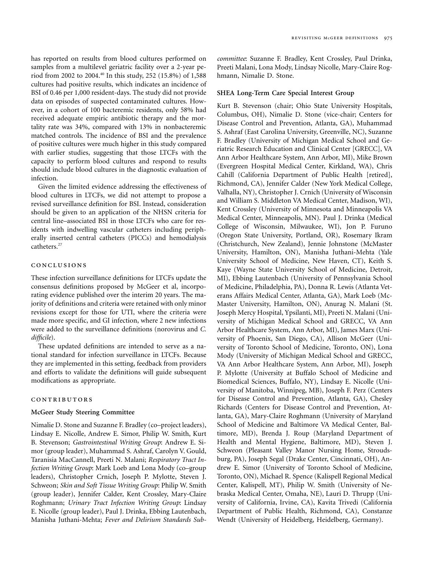has reported on results from blood cultures performed on samples from a multilevel geriatric facility over a 2-year period from 2002 to 2004.40 In this study, 252 (15.8%) of 1,588 cultures had positive results, which indicates an incidence of BSI of 0.46 per 1,000 resident-days. The study did not provide data on episodes of suspected contaminated cultures. However, in a cohort of 100 bacteremic residents, only 58% had received adequate empiric antibiotic therapy and the mortality rate was 34%, compared with 13% in nonbacteremic matched controls. The incidence of BSI and the prevalence of positive cultures were much higher in this study compared with earlier studies, suggesting that those LTCFs with the capacity to perform blood cultures and respond to results should include blood cultures in the diagnostic evaluation of infection.

Given the limited evidence addressing the effectiveness of blood cultures in LTCFs, we did not attempt to propose a revised surveillance definition for BSI. Instead, consideration should be given to an application of the NHSN criteria for central line–associated BSI in those LTCFs who care for residents with indwelling vascular catheters including peripherally inserted central catheters (PICCs) and hemodialysis catheters.<sup>27</sup>

## conclusions

These infection surveillance definitions for LTCFs update the consensus definitions proposed by McGeer et al, incorporating evidence published over the interim 20 years. The majority of definitions and criteria were retained with only minor revisions except for those for UTI, where the criteria were made more specific, and GI infection, where 2 new infections were added to the surveillance definitions (norovirus and *C. difficile*).

These updated definitions are intended to serve as a national standard for infection surveillance in LTCFs. Because they are implemented in this setting, feedback from providers and efforts to validate the definitions will guide subsequent modifications as appropriate.

#### contributors

### **McGeer Study Steering Committee**

Nimalie D. Stone and Suzanne F. Bradley (co–project leaders), Lindsay E. Nicolle, Andrew E. Simor, Philip W. Smith, Kurt B. Stevenson; *Gastrointestinal Writing Group*: Andrew E. Simor (group leader), Muhammad S. Ashraf, Carolyn V. Gould, Taranisia MacCannell, Preeti N. Malani; *Respiratory Tract Infection Writing Group*: Mark Loeb and Lona Mody (co–group leaders), Christopher Crnich, Joseph P. Mylotte, Steven J. Schweon; *Skin and Soft Tissue Writing Group*: Philip W. Smith (group leader), Jennifer Calder, Kent Crossley, Mary-Claire Roghmann; *Urinary Tract Infection Writing Group*: Lindsay E. Nicolle (group leader), Paul J. Drinka, Ebbing Lautenbach, Manisha Juthani-Mehta; *Fever and Delirium Standards Sub-*

*committee*: Suzanne F. Bradley, Kent Crossley, Paul Drinka, Preeti Malani, Lona Mody, Lindsay Nicolle, Mary-Claire Roghmann, Nimalie D. Stone.

## **SHEA Long-Term Care Special Interest Group**

Kurt B. Stevenson (chair; Ohio State University Hospitals, Columbus, OH), Nimalie D. Stone (vice-chair; Centers for Disease Control and Prevention, Atlanta, GA), Muhammad S. Ashraf (East Carolina University, Greenville, NC), Suzanne F. Bradley (University of Michigan Medical School and Geriatric Research Education and Clinical Center [GRECC], VA Ann Arbor Healthcare System, Ann Arbor, MI), Mike Brown (Evergreen Hospital Medical Center, Kirkland, WA), Chris Cahill (California Department of Public Health [retired], Richmond, CA), Jennifer Calder (New York Medical College, Valhalla, NY), Christopher J. Crnich (University of Wisconsin and William S. Middleton VA Medical Center, Madison, WI), Kent Crossley (University of Minnesota and Minneapolis VA Medical Center, Minneapolis, MN). Paul J. Drinka (Medical College of Wisconsin, Milwaukee, WI), Jon P. Furuno (Oregon State University, Portland, OR), Rosemary Ikram (Christchurch, New Zealand), Jennie Johnstone (McMaster University, Hamilton, ON), Manisha Juthani-Mehta (Yale University School of Medicine, New Haven, CT), Keith S. Kaye (Wayne State University School of Medicine, Detroit, MI), Ebbing Lautenbach (University of Pennsylvania School of Medicine, Philadelphia, PA), Donna R. Lewis (Atlanta Veterans Affairs Medical Center, Atlanta, GA), Mark Loeb (Mc-Master University, Hamilton, ON), Anurag N. Malani (St. Joseph Mercy Hospital, Ypsilanti, MI), Preeti N. Malani (University of Michigan Medical School and GRECC, VA Ann Arbor Healthcare System, Ann Arbor, MI), James Marx (University of Phoenix, San Diego, CA), Allison McGeer (University of Toronto School of Medicine, Toronto, ON), Lona Mody (University of Michigan Medical School and GRECC, VA Ann Arbor Healthcare System, Ann Arbor, MI), Joseph P. Mylotte (University at Buffalo School of Medicine and Biomedical Sciences, Buffalo, NY), Lindsay E. Nicolle (University of Manitoba, Winnipeg, MB), Joseph F. Perz (Centers for Disease Control and Prevention, Atlanta, GA), Chesley Richards (Centers for Disease Control and Prevention, Atlanta, GA), Mary-Claire Roghmann (University of Maryland School of Medicine and Baltimore VA Medical Center, Baltimore, MD), Brenda J. Roup (Maryland Department of Health and Mental Hygiene, Baltimore, MD), Steven J. Schweon (Pleasant Valley Manor Nursing Home, Stroudsburg, PA), Joseph Segal (Drake Center, Cincinnati, OH), Andrew E. Simor (University of Toronto School of Medicine, Toronto, ON), Michael R. Spence (Kalispell Regional Medical Center, Kalispell, MT), Philip W. Smith (University of Nebraska Medical Center, Omaha, NE), Lauri D. Thrupp (University of California, Irvine, CA), Kavita Trivedi (California Department of Public Health, Richmond, CA), Constanze Wendt (University of Heidelberg, Heidelberg, Germany).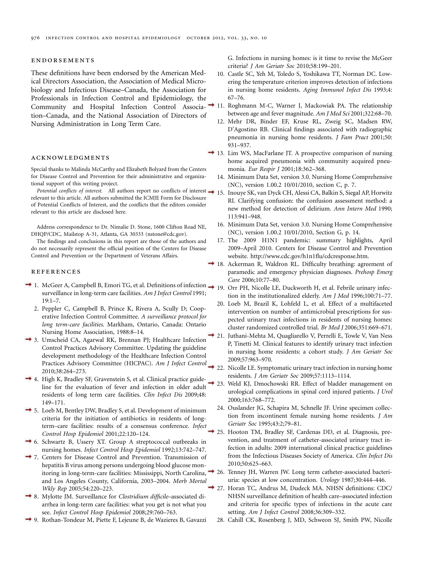#### endorsements

These definitions have been endorsed by the American Medical Directors Association, the Association of Medical Microbiology and Infectious Disease–Canada, the Association for Professionals in Infection Control and Epidemiology, the Community and Hospital Infection Control Associa-11. Roghmann M-C, Warner J, Mackowiak PA. The relationship tion–Canada, and the National Association of Directors of Nursing Administration in Long Term Care.

#### acknowledgments

Special thanks to Malinda McCarthy and Elizabeth Bolyard from the Centers for Disease Control and Prevention for their administrative and organizational support of this writing project.

*Potential conflicts of interest.* All authors report no conflicts of interest 15. Inouye SK, van Dyck CH, Alessi CA, Balkin S, Siegal AP, Horwitz relevant to this article. All authors submitted the ICMJE Form for Disclosure of Potential Conflicts of Interest, and the conflicts that the editors consider relevant to this article are disclosed here.

Address correspondence to Dr. Nimalie D. Stone, 1600 Clifton Road NE, DHQP/CDC, Mailstop A-31, Atlanta, GA 30333 [\(nstone@cdc.gov\)](mailto:nstone@cdc.gov).

The findings and conclusions in this report are those of the authors and do not necessarily represent the official position of the Centers for Disease Control and Prevention or the Department of Veterans Affairs.

#### **REFERENCES**

- 1. McGeer A, Campbell B, Emori TG, et al. Definitions of infection  $\rightarrow$  19. Orr PH, Nicolle LE, Duckworth H, et al. Febrile urinary infecsurveillance in long-term care facilities. *Am J Infect Control* 1991;  $19:1 - 7$ .
	- 2. Peppler C, Campbell B, Prince K, Rivera A, Scully D; Cooperative Infection Control Committee. *A surveillance protocol for long term-care facilities*. Markham, Ontario, Canada: Ontario Nursing Home Association, 1988:8–14.
- 3. Umscheid CA, Agarwal RK, Brennan PJ; Healthcare Infection Control Practices Advisory Committee. Updating the guideline development methodology of the Healthcare Infection Control Practices Advisory Committee (HICPAC). *Am J Infect Control* 2010;38:264–273.
- 4. High K, Bradley SF, Gravenstein S, et al. Clinical practice guideline for the evaluation of fever and infection in older adult residents of long term care facilities. *Clin Infect Dis* 2009;48: 149–171.
- 5. Loeb M, Bentley DW, Bradley S, et al. Development of minimum criteria for the initiation of antibiotics in residents of longterm–care facilities: results of a consensus conference. *Infect Control Hosp Epidemiol* 2001;22:120–124.
- 6. Schwartz B, Ussery XT. Group A streptococcal outbreaks in nursing homes. *Infect Control Hosp Epidemiol* 1992;13:742–747.
- 7. Centers for Disease Control and Prevention. Transmission of hepatitis B virus among persons undergoing blood glucose monitoring in long-term-care facilities: Mississippi, North Carolina, and Los Angeles County, California, 2003–2004. *Morb Mortal Wkly Rep* 2005;54:220–223.
- 8. Mylotte JM. Surveillance for *Clostridium difficile*–associated diarrhea in long-term care facilities: what you get is not what you see. *Infect Control Hosp Epidemiol* 2008;29:760–763.
- 9. Rothan-Tondeur M, Piette F, Lejeune B, de Wazieres B, Gavazzi

G. Infections in nursing homes: is it time to revise the McGeer criteria? *J Am Geriatr Soc* 2010;58:199–201.

- 10. Castle SC, Yeh M, Toledo S, Yoshikawa TT, Norman DC. Lowering the temperature criterion improves detection of infections in nursing home residents. *Aging Immunol Infect Dis* 1993;4: 67–76.
- between age and fever magnitude. *Am J Med Sci* 2001;322:68–70.
- 12. Mehr DR, Binder EF, Kruse RL, Zweig SC, Madsen RW, D'Agostino RB. Clinical findings associated with radiographic pneumonia in nursing home residents. *J Fam Pract* 2001;50: 931–937.
- → 13. Lim WS, MacFarlane JT. A prospective comparison of nursing home acquired pneumonia with community acquired pneumonia. *Eur Respir J* 2001;18:362–368.
	- 14. Minimum Data Set, version 3.0. Nursing Home Comprehensive (NC), version 1.00.2 10/01/2010, section C, p. 7.
	- RI. Clarifying confusion: the confusion assessment method: a new method for detection of delirium. *Ann Intern Med* 1990; 113:941–948.
	- 16. Minimum Data Set, version 3.0. Nursing Home Comprehensive (NC), version 1.00.2 10/01/2010, Section G, p. 14.
	- 17. The 2009 H1N1 pandemic: summary highlights, April 2009–April 2010. Centers for Disease Control and Prevention website. [http://www.cdc.gov/h1n1flu/cdcresponse.htm.](http://www.cdc.gov/h1n1flu/cdcresponse.htm)
- 18. Ackerman R, Waldron RL. Difficulty breathing: agreement of paramedic and emergency physician diagnoses. *Prehosp Emerg Care* 2006;10:77–80.
	- tion in the institutionalized elderly. *Am J Med* 1996;100:71–77.
	- 20. Loeb M, Brazil K, Lohfeld L, et al. Effect of a multifaceted intervention on number of antimicrobial prescriptions for suspected urinary tract infections in residents of nursing homes: cluster randomized controlled trial. *Br Med J* 2006;351:669–671.
- 21. Juthani-Mehta M, Quagliarello V, Perrelli E, Towle V, Van Ness P, Tinetti M. Clinical features to identify urinary tract infection in nursing home residents: a cohort study. *J Am Geriatr Soc* 2009;57:963–970.
	- 22. Nicolle LE. Symptomatic urinary tract infection in nursing home residents. *J Am Geriatr Soc* 2009;57:1113–1114.
- 23. Weld KJ, Dmochowski RR. Effect of bladder management on urological complications in spinal cord injured patients. *J Urol* 2000;163:768–772.
	- 24. Ouslander JG, Schapira M, Schnelle JF. Urine specimen collection from incontinent female nursing home residents. *J Am Geriatr Soc* 1995;43:2;79–81.
- 25. Hooton TM, Bradley SF, Cardenas DD, et al. Diagnosis, prevention, and treatment of catheter-associated urinary tract infection in adults: 2009 international clinical practice guidelines from the Infectious Diseases Society of America. *Clin Infect Dis* 2010;50:625–663.
- 26. Tenney JH, Warren JW. Long term catheter-associated bacteriuria: species at low concentration. *Urology* 1987;30:444–446.
	- 27. Horan TC, Andrus M, Dudeck MA. NHSN definitions: CDC/ NHSN surveillance definition of health care–associated infection and criteria for specific types of infections in the acute care setting. *Am J Infect Control* 2008;36:309–332.
	- 28. Cahill CK, Rosenberg J, MD, Schweon SJ, Smith PW, Nicolle